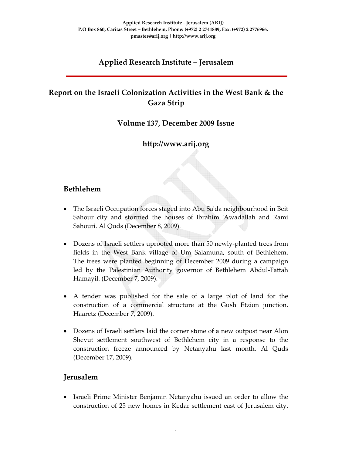# **Applied Research Institute – Jerusalem**

# **Report on the Israeli Colonization Activities in the West Bank & the Gaza Strip**

# **Volume 137, December 2009 Issue**

# **http://www.arij.org**

# **Bethlehem**

- The Israeli Occupation forces staged into Abu Sa'da neighbourhood in Beit Sahour city and stormed the houses of Ibrahim 'Awadallah and Rami Sahouri. Al Quds (December 8, 2009).
- Dozens of Israeli settlers uprooted more than 50 newly-planted trees from fields in the West Bank village of Um Salamuna, south of Bethlehem. The trees were planted beginning of December 2009 during a campaign led by the Palestinian Authority governor of Bethlehem Abdul‐Fattah Hamayil. (December 7, 2009).
- A tender was published for the sale of a large plot of land for the construction of a commercial structure at the Gush Etzion junction. Haaretz (December 7, 2009).
- Dozens of Israeli settlers laid the corner stone of a new outpost near Alon Shevut settlement southwest of Bethlehem city in a response to the construction freeze announced by Netanyahu last month. Al Quds (December 17, 2009).

# **Jerusalem**

• Israeli Prime Minister Benjamin Netanyahu issued an order to allow the construction of 25 new homes in Kedar settlement east of Jerusalem city.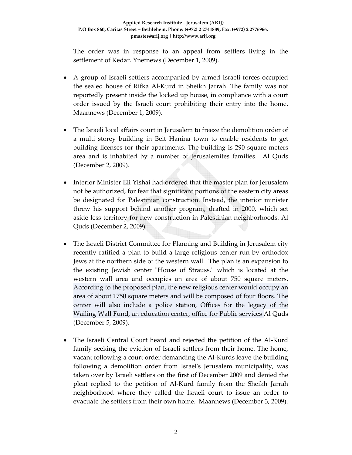The order was in response to an appeal from settlers living in the settlement of Kedar. Ynetnews (December 1, 2009).

- A group of Israeli settlers accompanied by armed Israeli forces occupied the sealed house of Rifka Al‐Kurd in Sheikh Jarrah. The family was not reportedly present inside the locked up house, in compliance with a court order issued by the Israeli court prohibiting their entry into the home. Maannews (December 1, 2009).
- The Israeli local affairs court in Jerusalem to freeze the demolition order of a multi storey building in Beit Hanina town to enable residents to get building licenses for their apartments. The building is 290 square meters area and is inhabited by a number of Jerusalemites families. Al Quds (December 2, 2009).
- Interior Minister Eli Yishai had ordered that the master plan for Jerusalem not be authorized, for fear that significant portions of the eastern city areas be designated for Palestinian construction. Instead, the interior minister threw his support behind another program, drafted in 2000, which set aside less territory for new construction in Palestinian neighborhoods. Al Quds (December 2, 2009).
- The Israeli District Committee for Planning and Building in Jerusalem city recently ratified a plan to build a large religious center run by orthodox Jews at the northern side of the western wall. The plan is an expansion to the existing Jewish center "House of Strauss," which is located at the western wall area and occupies an area of about 750 square meters. According to the proposed plan, the new religious center would occupy an area of about 1750 square meters and will be composed of four floors. The center will also include a police station, Offices for the legacy of the Wailing Wall Fund, an education center, office for Public services Al Quds (December 5, 2009).
- The Israeli Central Court heard and rejected the petition of the Al-Kurd family seeking the eviction of Israeli settlers from their home. The home, vacant following a court order demanding the Al‐Kurds leave the building following a demolition order from Israelʹs Jerusalem municipality, was taken over by Israeli settlers on the first of December 2009 and denied the pleat replied to the petition of Al‐Kurd family from the Sheikh Jarrah neighborhood where they called the Israeli court to issue an order to evacuate the settlers from their own home. Maannews (December 3, 2009).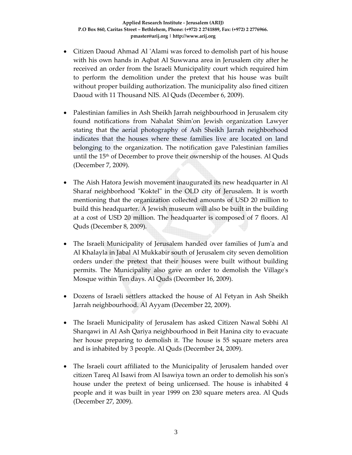- Citizen Daoud Ahmad Al 'Alami was forced to demolish part of his house with his own hands in Aqbat Al Suwwana area in Jerusalem city after he received an order from the Israeli Municipality court which required him to perform the demolition under the pretext that his house was built without proper building authorization. The municipality also fined citizen Daoud with 11 Thousand NIS. Al Quds (December 6, 2009).
- Palestinian families in Ash Sheikh Jarrah neighbourhood in Jerusalem city found notifications from Nahalat Shimʹon Jewish organization Lawyer stating that the aerial photography of Ash Sheikh Jarrah neighborhood indicates that the houses where these families live are located on land belonging to the organization. The notification gave Palestinian families until the 15<sup>th</sup> of December to prove their ownership of the houses. Al Quds (December 7, 2009).
- The Aish Hatora Jewish movement inaugurated its new headquarter in Al Sharaf neighborhood "Koktel" in the OLD city of Jerusalem. It is worth mentioning that the organization collected amounts of USD 20 million to build this headquarter. A Jewish museum will also be built in the building at a cost of USD 20 million. The headquarter is composed of 7 floors. Al Quds (December 8, 2009).
- The Israeli Municipality of Jerusalem handed over families of Jumʹa and Al Khalayla in Jabal Al Mukkabir south of Jerusalem city seven demolition orders under the pretext that their houses were built without building permits. The Municipality also gave an order to demolish the Villageʹs Mosque within Ten days. Al Quds (December 16, 2009).
- Dozens of Israeli settlers attacked the house of Al Fetyan in Ash Sheikh Jarrah neighbourhood. Al Ayyam (December 22, 2009).
- The Israeli Municipality of Jerusalem has asked Citizen Nawal Sobhi Al Sharqawi in Al Ash Qariya neighbourhood in Beit Hanina city to evacuate her house preparing to demolish it. The house is 55 square meters area and is inhabited by 3 people. Al Quds (December 24, 2009).
- The Israeli court affiliated to the Municipality of Jerusalem handed over citizen Tareq Al Isawi from Al Isawiya town an order to demolish his sonʹs house under the pretext of being unlicensed. The house is inhabited 4 people and it was built in year 1999 on 230 square meters area. Al Quds (December 27, 2009).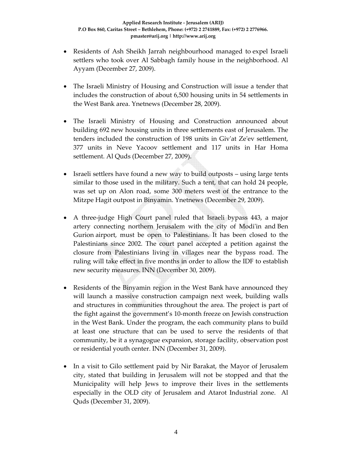- Residents of Ash Sheikh Jarrah neighbourhood managed to expel Israeli settlers who took over Al Sabbagh family house in the neighborhood. Al Ayyam (December 27, 2009).
- The Israeli Ministry of Housing and Construction will issue a tender that includes the construction of about 6,500 housing units in 54 settlements in the West Bank area. Ynetnews (December 28, 2009).
- The Israeli Ministry of Housing and Construction announced about building 692 new housing units in three settlements east of Jerusalem. The tenders included the construction of 198 units in Givʹat Zeʹev settlement, 377 units in Neve Yacoov settlement and 117 units in Har Homa settlement. Al Quds (December 27, 2009).
- Israeli settlers have found a new way to build outposts using large tents similar to those used in the military. Such a tent, that can hold 24 people, was set up on Alon road, some 300 meters west of the entrance to the Mitzpe Hagit outpost in Binyamin. Ynetnews (December 29, 2009).
- A three‐judge High Court panel ruled that Israeli bypass 443, a major artery connecting northern Jerusalem with the city of Modiʹin and Ben Gurion airport, must be open to Palestinians. It has been closed to the Palestinians since 2002. The court panel accepted a petition against the closure from Palestinians living in villages near the bypass road. The ruling will take effect in five months in order to allow the IDF to establish new security measures. INN (December 30, 2009).
- Residents of the Binyamin region in the West Bank have announced they will launch a massive construction campaign next week, building walls and structures in communities throughout the area. The project is part of the fight against the government's 10‐month freeze on Jewish construction in the West Bank. Under the program, the each community plans to build at least one structure that can be used to serve the residents of that community, be it a synagogue expansion, storage facility, observation post or residential youth center. INN (December 31, 2009).
- In a visit to Gilo settlement paid by Nir Barakat, the Mayor of Jerusalem city, stated that building in Jerusalem will not be stopped and that the Municipality will help Jews to improve their lives in the settlements especially in the OLD city of Jerusalem and Atarot Industrial zone. Al Quds (December 31, 2009).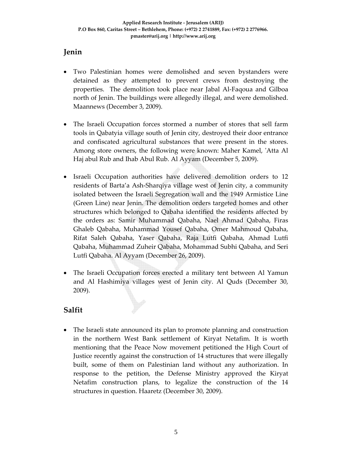# **Jenin**

- Two Palestinian homes were demolished and seven bystanders were detained as they attempted to prevent crews from destroying the properties. The demolition took place near Jabal Al‐Faqoua and Gilboa north of Jenin. The buildings were allegedly illegal, and were demolished. Maannews (December 3, 2009).
- The Israeli Occupation forces stormed a number of stores that sell farm tools in Qabatyia village south of Jenin city, destroyed their door entrance and confiscated agricultural substances that were present in the stores. Among store owners, the following were known: Maher Kamel, 'Atta Al Haj abul Rub and Ihab Abul Rub. Al Ayyam (December 5, 2009).
- Israeli Occupation authorities have delivered demolition orders to 12 residents of Barta'a Ash‐Sharqiya village west of Jenin city, a community isolated between the Israeli Segregation wall and the 1949 Armistice Line (Green Line) near Jenin. The demolition orders targeted homes and other structures which belonged to Qabaha identified the residents affected by the orders as: Samir Muhammad Qabaha, Nael Ahmad Qabaha, Firas Ghaleb Qabaha, Muhammad Yousef Qabaha, Omer Mahmoud Qabaha, Rifat Saleh Qabaha, Yaser Qabaha, Raja Lutfi Qabaha, Ahmad Lutfi Qabaha, Muhammad Zuheir Qabaha, Mohammad Subhi Qabaha, and Seri Lutfi Qabaha. Al Ayyam (December 26, 2009).
- The Israeli Occupation forces erected a military tent between Al Yamun and Al Hashimiya villages west of Jenin city. Al Quds (December 30, 2009).

# **Salfit**

• The Israeli state announced its plan to promote planning and construction in the northern West Bank settlement of Kiryat Netafim. It is worth mentioning that the Peace Now movement petitioned the High Court of Justice recently against the construction of 14 structures that were illegally built, some of them on Palestinian land without any authorization. In response to the petition, the Defense Ministry approved the Kiryat Netafim construction plans, to legalize the construction of the 14 structures in question. Haaretz (December 30, 2009).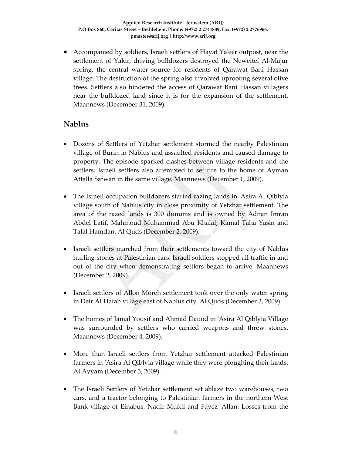• Accompanied by soldiers, Israeli settlers of Hayat Yaʹeer outpost, near the settlement of Yakir, driving bulldozers destroyed the Neweitef Al-Majur spring, the central water source for residents of Qarawat Bani Hassan village. The destruction of the spring also involved uprooting several olive trees. Settlers also hindered the access of Qarawat Bani Hassan villagers near the bulldozed land since it is for the expansion of the settlement. Maannews (December 31, 2009).

# **Nablus**

- Dozens of Settlers of Yetzhar settlement stormed the nearby Palestinian village of Burin in Nablus and assaulted residents and caused damage to property. The episode sparked clashes between village residents and the settlers. Israeli settlers also attempted to set fire to the home of Ayman Attalla Safwan in the same village. Maannews (December 1, 2009).
- The Israeli occupation bulldozers started razing lands in 'Asira Al Qiblyia village south of Nablus city in close proximity of Yetzhar settlement. The area of the razed lands is 300 dunums and is owned by Adnan Imran Abdel Latif, Mahmoud Muhammad Abu Khalaf, Kamal Taha Yasin and Talal Hamdan. Al Quds (December 2, 2009).
- Israeli settlers marched from their settlements toward the city of Nablus hurling stones at Palestinian cars. Israeli soldiers stopped all traffic in and out of the city when demonstrating settlers began to arrive. Maannews (December 2, 2009).
- Israeli settlers of Allon Moreh settlement took over the only water spring in Deir Al Hatab village east of Nablus city. Al Quds (December 3, 2009).
- The homes of Jamal Yousif and Ahmad Dauod in 'Asira Al Qiblyia Village was surrounded by settlers who carried weapons and threw stones. Maannews (December 4, 2009).
- More than Israeli settlers from Yetzhar settlement attacked Palestinian farmers in 'Asira Al Qiblyia village while they were ploughing their lands. Al Ayyam (December 5, 2009).
- The Israeli Settlers of Yetzhar settlement set ablaze two warehouses, two cars, and a tractor belonging to Palestinian farmers in the northern West Bank village of Einabus, Nadir Mufdi and Fayez 'Allan. Losses from the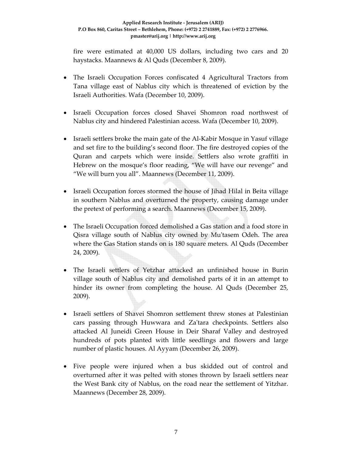#### **Applied Research Institute ‐ Jerusalem (ARIJ) P.O Box 860, Caritas Street – Bethlehem, Phone: (+972) 2 2741889, Fax: (+972) 2 2776966. pmaster@arij.org | http://www.arij.org**

fire were estimated at 40,000 US dollars, including two cars and 20 haystacks. Maannews & Al Quds (December 8, 2009).

- The Israeli Occupation Forces confiscated 4 Agricultural Tractors from Tana village east of Nablus city which is threatened of eviction by the Israeli Authorities. Wafa (December 10, 2009).
- Israeli Occupation forces closed Shavei Shomron road northwest of Nablus city and hindered Palestinian access. Wafa (December 10, 2009).
- Israeli settlers broke the main gate of the Al-Kabir Mosque in Yasuf village and set fire to the building's second floor. The fire destroyed copies of the Quran and carpets which were inside. Settlers also wrote graffiti in Hebrew on the mosque's floor reading, "We will have our revenge" and "We will burn you all". Maannews (December 11, 2009).
- Israeli Occupation forces stormed the house of Jihad Hilal in Beita village in southern Nablus and overturned the property, causing damage under the pretext of performing a search. Maannews (December 15, 2009).
- The Israeli Occupation forced demolished a Gas station and a food store in Qisra village south of Nablus city owned by Muʹtasem Odeh. The area where the Gas Station stands on is 180 square meters. Al Quds (December 24, 2009).
- The Israeli settlers of Yetzhar attacked an unfinished house in Burin village south of Nablus city and demolished parts of it in an attempt to hinder its owner from completing the house. Al Quds (December 25, 2009).
- Israeli settlers of Shavei Shomron settlement threw stones at Palestinian cars passing through Huwwara and Zaʹtara checkpoints. Settlers also attacked Al Juneidi Green House in Deir Sharaf Valley and destroyed hundreds of pots planted with little seedlings and flowers and large number of plastic houses. Al Ayyam (December 26, 2009).
- Five people were injured when a bus skidded out of control and overturned after it was pelted with stones thrown by Israeli settlers near the West Bank city of Nablus, on the road near the settlement of Yitzhar. Maannews (December 28, 2009).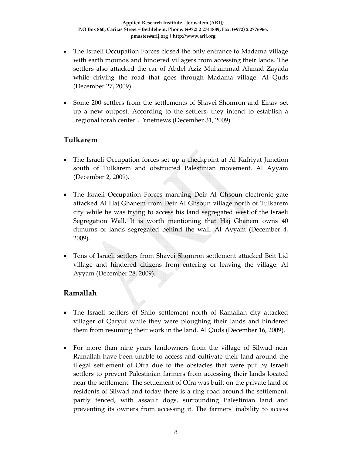- The Israeli Occupation Forces closed the only entrance to Madama village with earth mounds and hindered villagers from accessing their lands. The settlers also attacked the car of Abdel Aziz Muhammad Ahmad Zayada while driving the road that goes through Madama village. Al Quds (December 27, 2009).
- Some 200 settlers from the settlements of Shavei Shomron and Einav set up a new outpost. According to the settlers, they intend to establish a "regional torah center". Ynetnews (December 31, 2009).

### **Tulkarem**

- The Israeli Occupation forces set up a checkpoint at Al Kafriyat Junction south of Tulkarem and obstructed Palestinian movement. Al Ayyam (December 2, 2009).
- The Israeli Occupation Forces manning Deir Al Ghsoun electronic gate attacked Al Haj Ghanem from Deir Al Ghsoun village north of Tulkarem city while he was trying to access his land segregated west of the Israeli Segregation Wall. It is worth mentioning that Haj Ghanem owns 40 dunums of lands segregated behind the wall. Al Ayyam (December 4, 2009).
- Tens of Israeli settlers from Shavei Shomron settlement attacked Beit Lid village and hindered citizens from entering or leaving the village. Al Ayyam (December 28, 2009).

# **Ramallah**

- The Israeli settlers of Shilo settlement north of Ramallah city attacked villager of Qaryut while they were ploughing their lands and hindered them from resuming their work in the land. Al Quds (December 16, 2009).
- For more than nine years landowners from the village of Silwad near Ramallah have been unable to access and cultivate their land around the illegal settlement of Ofra due to the obstacles that were put by Israeli settlers to prevent Palestinian farmers from accessing their lands located near the settlement. The settlement of Ofra was built on the private land of residents of Silwad and today there is a ring road around the settlement, partly fenced, with assault dogs, surrounding Palestinian land and preventing its owners from accessing it. The farmers' inability to access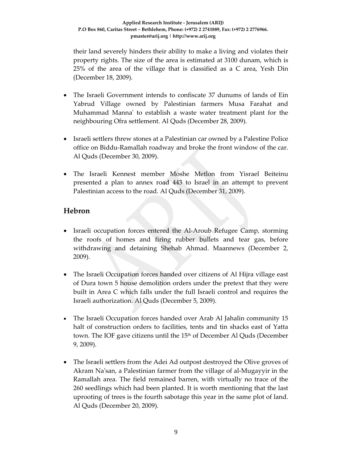their land severely hinders their ability to make a living and violates their property rights. The size of the area is estimated at 3100 dunam, which is 25% of the area of the village that is classified as a C area, Yesh Din (December 18, 2009).

- The Israeli Government intends to confiscate 37 dunums of lands of Ein Yabrud Village owned by Palestinian farmers Musa Farahat and Muhammad Mannaʹ to establish a waste water treatment plant for the neighbouring Ofra settlement. Al Quds (December 28, 2009).
- Israeli settlers threw stones at a Palestinian car owned by a Palestine Police office on Biddu‐Ramallah roadway and broke the front window of the car. Al Quds (December 30, 2009).
- The Israeli Kennest member Moshe Metlon from Yisrael Beiteinu presented a plan to annex road 443 to Israel in an attempt to prevent Palestinian access to the road. Al Quds (December 31, 2009).

# **Hebron**

- Israeli occupation forces entered the Al-Aroub Refugee Camp, storming the roofs of homes and firing rubber bullets and tear gas, before withdrawing and detaining Shehab Ahmad. Maannews (December 2, 2009).
- The Israeli Occupation forces handed over citizens of Al Hijra village east of Dura town 5 house demolition orders under the pretext that they were built in Area C which falls under the full Israeli control and requires the Israeli authorization. Al Quds (December 5, 2009).
- The Israeli Occupation forces handed over Arab Al Jahalin community 15 halt of construction orders to facilities, tents and tin shacks east of Yatta town. The IOF gave citizens until the 15<sup>th</sup> of December Al Quds (December 9, 2009).
- The Israeli settlers from the Adei Ad outpost destroyed the Olive groves of Akram Na'san, a Palestinian farmer from the village of al-Mugayyir in the Ramallah area. The field remained barren, with virtually no trace of the 260 seedlings which had been planted. It is worth mentioning that the last uprooting of trees is the fourth sabotage this year in the same plot of land. Al Quds (December 20, 2009).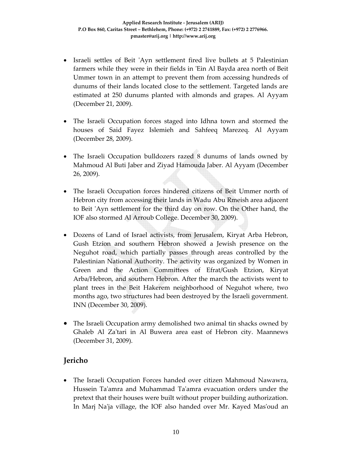- Israeli settles of Beit 'Ayn settlement fired live bullets at 5 Palestinian farmers while they were in their fields in 'Ein Al Bayda area north of Beit Ummer town in an attempt to prevent them from accessing hundreds of dunums of their lands located close to the settlement. Targeted lands are estimated at 250 dunums planted with almonds and grapes. Al Ayyam (December 21, 2009).
- The Israeli Occupation forces staged into Idhna town and stormed the houses of Said Fayez Islemieh and Sahfeeq Marezeq. Al Ayyam (December 28, 2009).
- The Israeli Occupation bulldozers razed 8 dunums of lands owned by Mahmoud Al Buti Jaber and Ziyad Hamouda Jaber. Al Ayyam (December 26, 2009).
- The Israeli Occupation forces hindered citizens of Beit Ummer north of Hebron city from accessing their lands in Wadu Abu Rmeish area adjacent to Beit 'Ayn settlement for the third day on row. On the Other hand, the IOF also stormed Al Arroub College. December 30, 2009).
- Dozens of Land of Israel activists, from Jerusalem, Kiryat Arba Hebron, Gush Etzion and southern Hebron showed a Jewish presence on the Neguhot road, which partially passes through areas controlled by the Palestinian National Authority. The activity was organized by Women in Green and the Action Committees of Efrat/Gush Etzion, Kiryat Arba/Hebron, and southern Hebron. After the march the activists went to plant trees in the Beit Hakerem neighborhood of Neguhot where, two months ago, two structures had been destroyed by the Israeli government. INN (December 30, 2009).
- The Israeli Occupation army demolished two animal tin shacks owned by Ghaleb Al Zaʹtari in Al Buwera area east of Hebron city. Maannews (December 31, 2009).

# **Jericho**

• The Israeli Occupation Forces handed over citizen Mahmoud Nawawra, Hussein Taʹamra and Muhammad Taʹamra evacuation orders under the pretext that their houses were built without proper building authorization. In Marj Naʹja village, the IOF also handed over Mr. Kayed Masʹoud an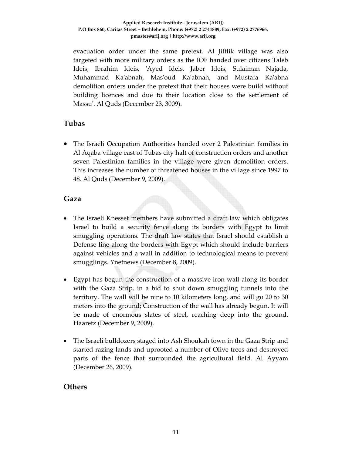#### **Applied Research Institute ‐ Jerusalem (ARIJ) P.O Box 860, Caritas Street – Bethlehem, Phone: (+972) 2 2741889, Fax: (+972) 2 2776966. pmaster@arij.org | http://www.arij.org**

evacuation order under the same pretext. Al Jiftlik village was also targeted with more military orders as the IOF handed over citizens Taleb Ideis, Ibrahim Ideis, 'Ayed Ideis, Jaber Ideis, Sulaiman Najada, Muhammad Kaʹabnah, Masʹoud Kaʹabnah, and Mustafa Kaʹabna demolition orders under the pretext that their houses were build without building licences and due to their location close to the settlement of Massu'. Al Quds (December 23, 3009).

### **Tubas**

• The Israeli Occupation Authorities handed over 2 Palestinian families in Al Aqaba village east of Tubas city halt of construction orders and another seven Palestinian families in the village were given demolition orders. This increases the number of threatened houses in the village since 1997 to 48. Al Quds (December 9, 2009).

### **Gaza**

- The Israeli Knesset members have submitted a draft law which obligates Israel to build a security fence along its borders with Egypt to limit smuggling operations. The draft law states that Israel should establish a Defense line along the borders with Egypt which should include barriers against vehicles and a wall in addition to technological means to prevent smugglings. Ynetnews (December 8, 2009).
- Egypt has begun the construction of a massive iron wall along its border with the Gaza Strip, in a bid to shut down smuggling tunnels into the territory. The wall will be nine to 10 kilometers long, and will go 20 to 30 meters into the ground; Construction of the wall has already begun. It will be made of enormous slates of steel, reaching deep into the ground. Haaretz (December 9, 2009).
- The Israeli bulldozers staged into Ash Shoukah town in the Gaza Strip and started razing lands and uprooted a number of Olive trees and destroyed parts of the fence that surrounded the agricultural field. Al Ayyam (December 26, 2009).

### **Others**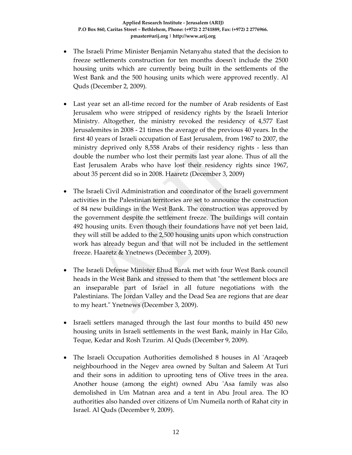- The Israeli Prime Minister Benjamin Netanyahu stated that the decision to freeze settlements construction for ten months doesn't include the 2500 housing units which are currently being built in the settlements of the West Bank and the 500 housing units which were approved recently. Al Quds (December 2, 2009).
- Last year set an all-time record for the number of Arab residents of East Jerusalem who were stripped of residency rights by the Israeli Interior Ministry. Altogether, the ministry revoked the residency of 4,577 East Jerusalemites in 2008 ‐ 21 times the average of the previous 40 years. In the first 40 years of Israeli occupation of East Jerusalem, from 1967 to 2007, the ministry deprived only 8,558 Arabs of their residency rights ‐ less than double the number who lost their permits last year alone. Thus of all the East Jerusalem Arabs who have lost their residency rights since 1967, about 35 percent did so in 2008. Haaretz (December 3, 2009)
- The Israeli Civil Administration and coordinator of the Israeli government activities in the Palestinian territories are set to announce the construction of 84 new buildings in the West Bank. The construction was approved by the government despite the settlement freeze. The buildings will contain 492 housing units. Even though their foundations have not yet been laid, they will still be added to the 2,500 housing units upon which construction work has already begun and that will not be included in the settlement freeze. Haaretz & Ynetnews (December 3, 2009).
- The Israeli Defense Minister Ehud Barak met with four West Bank council heads in the West Bank and stressed to them that "the settlement blocs are an inseparable part of Israel in all future negotiations with the Palestinians. The Jordan Valley and the Dead Sea are regions that are dear to my heart." Ynetnews (December 3, 2009).
- Israeli settlers managed through the last four months to build 450 new housing units in Israeli settlements in the west Bank, mainly in Har Gilo, Teque, Kedar and Rosh Tzurim. Al Quds (December 9, 2009).
- The Israeli Occupation Authorities demolished 8 houses in Al 'Araqeeb neighbourhood in the Negev area owned by Sultan and Saleem At Turi and their sons in addition to uprooting tens of Olive trees in the area. Another house (among the eight) owned Abu ʹAsa family was also demolished in Um Matnan area and a tent in Abu Jroul area. The IO authorities also handed over citizens of Um Numeila north of Rahat city in Israel. Al Quds (December 9, 2009).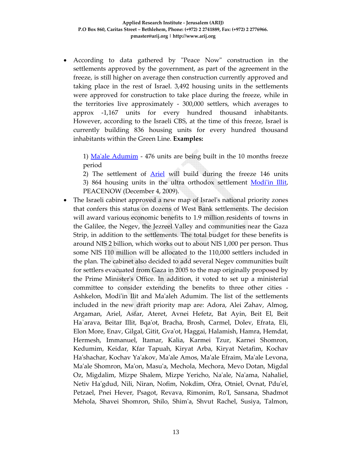According to data gathered by "Peace Now" construction in the settlements approved by the government, as part of the agreement in the freeze, is still higher on average then construction currently approved and taking place in the rest of Israel. 3,492 housing units in the settlements were approved for construction to take place during the freeze, while in the territories live approximately ‐ 300,000 settlers, which averages to approx ‐1,167 units for every hundred thousand inhabitants. However, according to the Israeli CBS, at the time of this freeze, Israel is currently building 836 housing units for every hundred thousand inhabitants within the Green Line. **Examples:**

1)  $\text{Ma}'$ ale Adumim - 476 units are being built in the 10 months freeze period

2) The settlement of Ariel will build during the freeze 146 units 3) 864 housing units in the ultra orthodox settlement Modi'in Illit, PEACENOW (December 4, 2009).

• The Israeli cabinet approved a new map of Israel's national priority zones that confers this status on dozens of West Bank settlements. The decision will award various economic benefits to 1.9 million residents of towns in the Galilee, the Negev, the Jezreel Valley and communities near the Gaza Strip, in addition to the settlements. The total budget for these benefits is around NIS 2 billion, which works out to about NIS 1,000 per person. Thus some NIS 110 million will be allocated to the 110,000 settlers included in the plan. The cabinet also decided to add several Negev communities built for settlers evacuated from Gaza in 2005 to the map originally proposed by the Prime Ministerʹs Office. In addition, it voted to set up a ministerial committee to consider extending the benefits to three other cities ‐ Ashkelon, Modiʹin Ilit and Maʹaleh Adumim. The list of the settlements included in the new draft priority map are: Adora, Alei Zahav, Almog, Argaman, Ariel, Asfar, Ateret, Avnei Hefetz, Bat Ayin, Beit El, Beit Ha`arava, Beitar Illit, Bqaʹot, Bracha, Brosh, Carmel, Dolev, Efrata, Eli, Elon More, Enav, Gilgal, Gitit, Gvaʹot, Haggai, Halamish, Hamra, Hemdat, Hermesh, Immanuel, Itamar, Kalia, Karmei Tzur, Karnei Shomron, Kedumim, Keidar, Kfar Tapuah, Kiryat Arba, Kiryat Netafim, Kochav Ha'shachar, Kochav Ya'akov, Ma'ale Amos, Ma'ale Efraim, Ma'ale Levona, Maʹale Shomron, Maʹon, Masuʹa, Mechola, Mechora, Mevo Dotan, Migdal Oz, Migdalim, Mizpe Shalem, Mizpe Yericho, Naʹale, Naʹama, Nahaliel, Netiv Haʹgdud, Nili, Niran, Nofim, Nokdim, Ofra, Otniel, Ovnat, Pduʹel, Petzael, Pnei Hever, Psagot, Revava, Rimonim, RoʹI, Sansana, Shadmot Mehola, Shavei Shomron, Shilo, Shimʹa, Shvut Rachel, Susiya, Talmon,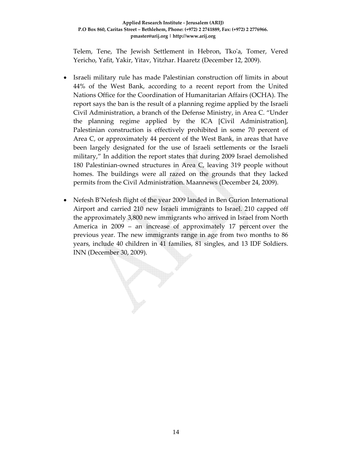#### **Applied Research Institute ‐ Jerusalem (ARIJ) P.O Box 860, Caritas Street – Bethlehem, Phone: (+972) 2 2741889, Fax: (+972) 2 2776966. pmaster@arij.org | http://www.arij.org**

Telem, Tene, The Jewish Settlement in Hebron, Tkoʹa, Tomer, Vered Yericho, Yafit, Yakir, Yitav, Yitzhar. Haaretz (December 12, 2009).

- Israeli military rule has made Palestinian construction off limits in about 44% of the West Bank, according to a recent report from the United Nations Office for the Coordination of Humanitarian Affairs (OCHA). The report says the ban is the result of a planning regime applied by the Israeli Civil Administration, a branch of the Defense Ministry, in Area C. "Under the planning regime applied by the ICA [Civil Administration], Palestinian construction is effectively prohibited in some 70 percent of Area C, or approximately 44 percent of the West Bank, in areas that have been largely designated for the use of Israeli settlements or the Israeli military," In addition the report states that during 2009 Israel demolished 180 Palestinian‐owned structures in Area C, leaving 319 people without homes. The buildings were all razed on the grounds that they lacked permits from the Civil Administration. Maannews (December 24, 2009).
- Nefesh B'Nefesh flight of the year 2009 landed in Ben Gurion International Airport and carried 210 new Israeli immigrants to Israel. 210 capped off the approximately 3,800 new immigrants who arrived in Israel from North America in 2009 – an increase of approximately 17 percent over the previous year. The new immigrants range in age from two months to 86 years, include 40 children in 41 families, 81 singles, and 13 IDF Soldiers. INN (December 30, 2009).